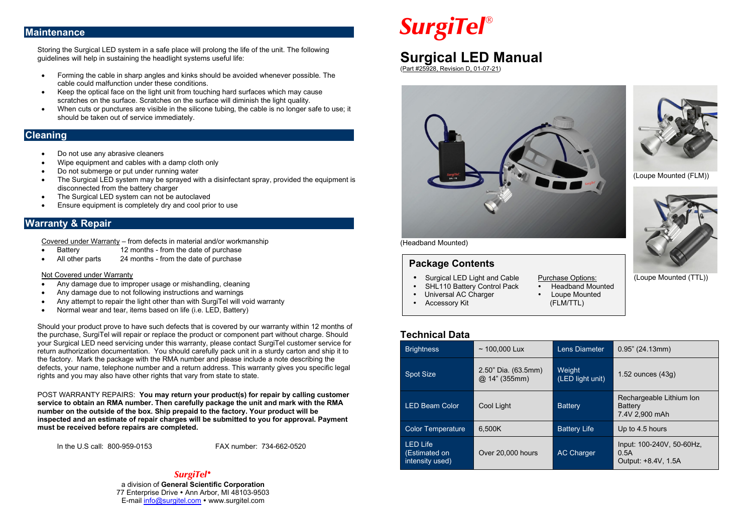## **Maintenance**

Storing the Surgical LED system in a safe place will prolong the life of the unit. The following guidelines will help in sustaining the headlight systems useful life:

- Forming the cable in sharp angles and kinks should be avoided whenever possible. The cable could malfunction under these conditions.
- Keep the optical face on the light unit from touching hard surfaces which may cause scratches on the surface. Scratches on the surface will diminish the light quality.
- When cuts or punctures are visible in the silicone tubing, the cable is no longer safe to use; it should be taken out of service immediately.

# **Cleaning**

- Do not use any abrasive cleaners
- Wipe equipment and cables with a damp cloth only
- Do not submerge or put under running water
- The Surgical LED system may be sprayed with a disinfectant spray, provided the equipment is disconnected from the battery charger
- The Surgical LED system can not be autoclayed
- Ensure equipment is completely dry and cool prior to use

# **Warranty & Repair**

Covered under Warranty – from defects in material and/or workmanship

- **Example 12 months from the date of purchase**<br>All other parts 24 months from the date of purchase
- 24 months from the date of purchase

#### Not Covered under Warranty

- Any damage due to improper usage or mishandling, cleaning
- Any damage due to not following instructions and warnings
- Any attempt to repair the light other than with SurgiTel will void warranty
- Normal wear and tear, items based on life (i.e. LED, Battery)

Should your product prove to have such defects that is covered by our warranty within 12 months of the purchase, SurgiTel will repair or replace the product or component part without charge. Should your Surgical LED need servicing under this warranty, please contact SurgiTel customer service for return authorization documentation. You should carefully pack unit in a sturdy carton and ship it to the factory. Mark the package with the RMA number and please include a note describing the defects, your name, telephone number and a return address. This warranty gives you specific legal rights and you may also have other rights that vary from state to state.

POST WARRANTY REPAIRS: **You may return your product(s) for repair by calling customer service to obtain an RMA number. Then carefully package the unit and mark with the RMA number on the outside of the box. Ship prepaid to the factory. Your product will be inspected and an estimate of repair charges will be submitted to you for approval. Payment must be received before repairs are completed.**

In the U.S call: 800-959-0153 FAX number: 734-662-0520

# *SurgiTel*

a division of **General Scientific Corporation** 77 Enterprise Drive • Ann Arbor, MI 48103-9503 E-mail [info@surgitel.com](mailto:info@surgitel.com) • www.surgitel.com

# *SurgiTel*

# **Surgical LED Manual**

(Part #25928, Revision D, 01-07-21)





(Loupe Mounted (FLM))



(Loupe Mounted (TTL))

#### (Headband Mounted)

# **Package Contents**

- Surgical LED Light and Cable Purchase Options:<br>• SHL110 Battery Control Pack Headband Mounted
- SHL110 Battery Control Pack Headband Mour<br>Universal AC Charger Loupe Mounted
- Universal AC Charger Loupe Mounted
- $\cdot$  Accessory Kit
- **Technical Data**

| <b>Brightness</b>                                   | $~100.000$ Lux                          | Lens Diameter              | $0.95$ " (24.13mm)                                           |
|-----------------------------------------------------|-----------------------------------------|----------------------------|--------------------------------------------------------------|
| <b>Spot Size</b>                                    | $2.50"$ Dia. $(63.5mm)$<br>@14" (355mm) | Weight<br>(LED light unit) | $1.52$ ounces $(43q)$                                        |
| <b>LED Beam Color</b>                               | Cool Light                              | <b>Battery</b>             | Rechargeable Lithium Ion<br><b>Battery</b><br>7.4V 2,900 mAh |
| <b>Color Temperature</b>                            | 6.500K                                  | <b>Battery Life</b>        | Up to 4.5 hours                                              |
| <b>LED Life</b><br>(Estimated on<br>intensity used) | Over 20,000 hours                       | <b>AC Charger</b>          | Input: 100-240V, 50-60Hz,<br>0.5A<br>Output: +8.4V, 1.5A     |